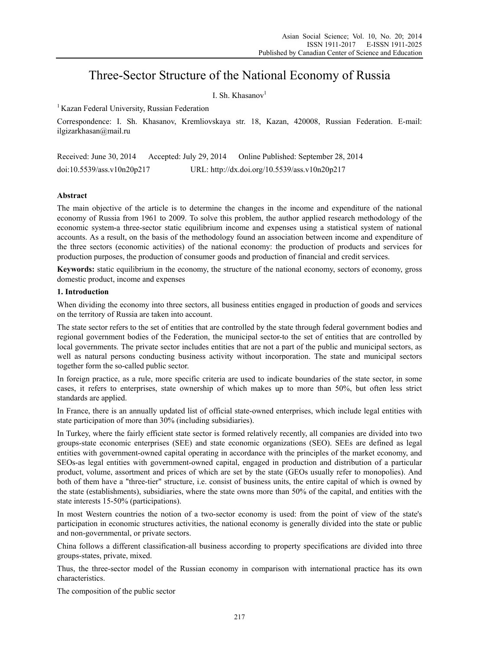# Three-Sector Structure of the National Economy of Russia

I. Sh. Khasanov $<sup>1</sup>$ </sup>

<sup>1</sup> Kazan Federal University, Russian Federation

Correspondence: I. Sh. Khasanov, Kremliovskaya str. 18, Kazan, 420008, Russian Federation. E-mail: ilgizarkhasan@mail.ru

Received: June 30, 2014 Accepted: July 29, 2014 Online Published: September 28, 2014 doi:10.5539/ass.v10n20p217 URL: http://dx.doi.org/10.5539/ass.v10n20p217

# **Abstract**

The main objective of the article is to determine the changes in the income and expenditure of the national economy of Russia from 1961 to 2009. To solve this problem, the author applied research methodology of the economic system-a three-sector static equilibrium income and expenses using a statistical system of national accounts. As a result, on the basis of the methodology found an association between income and expenditure of the three sectors (economic activities) of the national economy: the production of products and services for production purposes, the production of consumer goods and production of financial and credit services.

**Keywords:** static equilibrium in the economy, the structure of the national economy, sectors of economy, gross domestic product, income and expenses

## **1. Introduction**

When dividing the economy into three sectors, all business entities engaged in production of goods and services on the territory of Russia are taken into account.

The state sector refers to the set of entities that are controlled by the state through federal government bodies and regional government bodies of the Federation, the municipal sector-to the set of entities that are controlled by local governments. The private sector includes entities that are not a part of the public and municipal sectors, as well as natural persons conducting business activity without incorporation. The state and municipal sectors together form the so-called public sector.

In foreign practice, as a rule, more specific criteria are used to indicate boundaries of the state sector, in some cases, it refers to enterprises, state ownership of which makes up to more than 50%, but often less strict standards are applied.

In France, there is an annually updated list of official state-owned enterprises, which include legal entities with state participation of more than 30% (including subsidiaries).

In Turkey, where the fairly efficient state sector is formed relatively recently, all companies are divided into two groups-state economic enterprises (SEE) and state economic organizations (SEO). SEEs are defined as legal entities with government-owned capital operating in accordance with the principles of the market economy, and SEOs-as legal entities with government-owned capital, engaged in production and distribution of a particular product, volume, assortment and prices of which are set by the state (GEOs usually refer to monopolies). And both of them have a "three-tier" structure, i.e. consist of business units, the entire capital of which is owned by the state (establishments), subsidiaries, where the state owns more than 50% of the capital, and entities with the state interests 15-50% (participations).

In most Western countries the notion of a two-sector economy is used: from the point of view of the state's participation in economic structures activities, the national economy is generally divided into the state or public and non-governmental, or private sectors.

China follows a different classification-all business according to property specifications are divided into three groups-states, private, mixed.

Thus, the three-sector model of the Russian economy in comparison with international practice has its own characteristics.

The composition of the public sector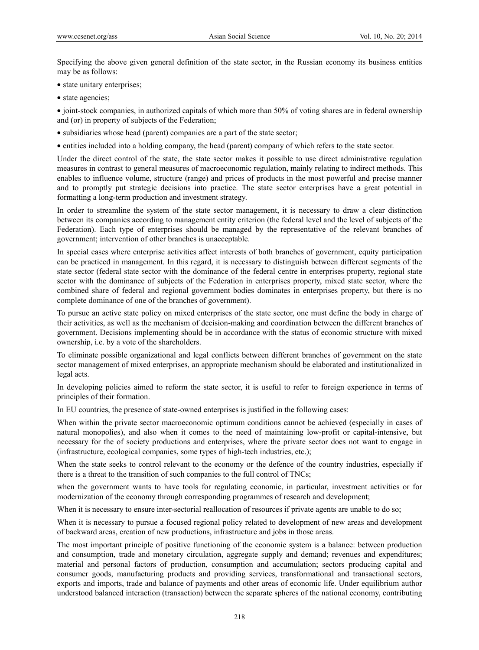Specifying the above given general definition of the state sector, in the Russian economy its business entities may be as follows:

- state unitary enterprises;
- state agencies;

 joint-stock companies, in authorized capitals of which more than 50% of voting shares are in federal ownership and (or) in property of subjects of the Federation;

- subsidiaries whose head (parent) companies are a part of the state sector;
- entities included into a holding company, the head (parent) company of which refers to the state sector.

Under the direct control of the state, the state sector makes it possible to use direct administrative regulation measures in contrast to general measures of macroeconomic regulation, mainly relating to indirect methods. This enables to influence volume, structure (range) and prices of products in the most powerful and precise manner and to promptly put strategic decisions into practice. The state sector enterprises have a great potential in formatting a long-term production and investment strategy.

In order to streamline the system of the state sector management, it is necessary to draw a clear distinction between its companies according to management entity criterion (the federal level and the level of subjects of the Federation). Each type of enterprises should be managed by the representative of the relevant branches of government; intervention of other branches is unacceptable.

In special cases where enterprise activities affect interests of both branches of government, equity participation can be practiced in management. In this regard, it is necessary to distinguish between different segments of the state sector (federal state sector with the dominance of the federal centre in enterprises property, regional state sector with the dominance of subjects of the Federation in enterprises property, mixed state sector, where the combined share of federal and regional government bodies dominates in enterprises property, but there is no complete dominance of one of the branches of government).

To pursue an active state policy on mixed enterprises of the state sector, one must define the body in charge of their activities, as well as the mechanism of decision-making and coordination between the different branches of government. Decisions implementing should be in accordance with the status of economic structure with mixed ownership, i.e. by a vote of the shareholders.

To eliminate possible organizational and legal conflicts between different branches of government on the state sector management of mixed enterprises, an appropriate mechanism should be elaborated and institutionalized in legal acts.

In developing policies aimed to reform the state sector, it is useful to refer to foreign experience in terms of principles of their formation.

In EU countries, the presence of state-owned enterprises is justified in the following cases:

When within the private sector macroeconomic optimum conditions cannot be achieved (especially in cases of natural monopolies), and also when it comes to the need of maintaining low-profit or capital-intensive, but necessary for the of society productions and enterprises, where the private sector does not want to engage in (infrastructure, ecological companies, some types of high-tech industries, etc.);

When the state seeks to control relevant to the economy or the defence of the country industries, especially if there is a threat to the transition of such companies to the full control of TNCs;

when the government wants to have tools for regulating economic, in particular, investment activities or for modernization of the economy through corresponding programmes of research and development;

When it is necessary to ensure inter-sectorial reallocation of resources if private agents are unable to do so;

When it is necessary to pursue a focused regional policy related to development of new areas and development of backward areas, creation of new productions, infrastructure and jobs in those areas.

The most important principle of positive functioning of the economic system is a balance: between production and consumption, trade and monetary circulation, aggregate supply and demand; revenues and expenditures; material and personal factors of production, consumption and accumulation; sectors producing capital and consumer goods, manufacturing products and providing services, transformational and transactional sectors, exports and imports, trade and balance of payments and other areas of economic life. Under equilibrium author understood balanced interaction (transaction) between the separate spheres of the national economy, contributing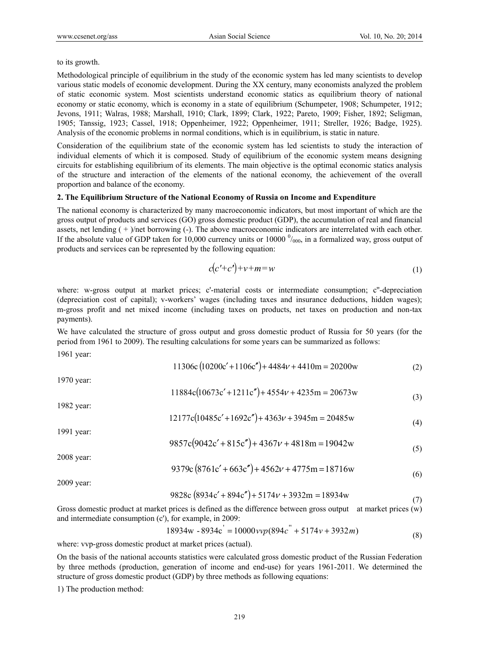## to its growth.

Methodological principle of equilibrium in the study of the economic system has led many scientists to develop various static models of economic development. During the XX century, many economists analyzed the problem of static economic system. Most scientists understand economic statics as equilibrium theory of national economy or static economy, which is economy in a state of equilibrium (Schumpeter, 1908; Schumpeter, 1912; Jevons, 1911; Walras, 1988; Marshall, 1910; Clark, 1899; Clark, 1922; Pareto, 1909; Fisher, 1892; Seligman, 1905; Tanssig, 1923; Cassel, 1918; Oppenheimer, 1922; Oppenheimer, 1911; Streller, 1926; Badge, 1925). Analysis of the economic problems in normal conditions, which is in equilibrium, is static in nature.

Consideration of the equilibrium state of the economic system has led scientists to study the interaction of individual elements of which it is composed. Study of equilibrium of the economic system means designing circuits for establishing equilibrium of its elements. The main objective is the optimal economic statics analysis of the structure and interaction of the elements of the national economy, the achievement of the overall proportion and balance of the economy.

## **2. The Equilibrium Structure of the National Economy of Russia on Income and Expenditure**

The national economy is characterized by many macroeconomic indicators, but most important of which are the gross output of products and services (GO) gross domestic product (GDP), the accumulation of real and financial assets, net lending  $(+)$ /net borrowing  $(-)$ . The above macroeconomic indicators are interrelated with each other. If the absolute value of GDP taken for 10,000 currency units or 10000  $\frac{0}{000}$ , in a formalized way, gross output of products and services can be represented by the following equation:

$$
c(c'+c') + v + m = w \tag{1}
$$

where: w-gross output at market prices; c'-material costs or intermediate consumption; c''-depreciation (depreciation cost of capital); v-workers' wages (including taxes and insurance deductions, hidden wages); m-gross profit and net mixed income (including taxes on products, net taxes on production and non-tax payments).

We have calculated the structure of gross output and gross domestic product of Russia for 50 years (for the period from 1961 to 2009). The resulting calculations for some years can be summarized as follows: 1961 year:

$$
11306c (10200c'+1106c'') + 4484v + 4410m = 20200w
$$
 (2)

1970 year:

1982 year:

1991 year:

$$
11884c(10673c' + 1211c'') + 4554v + 4235m = 20673w
$$
\n(3)

$$
12177c(10485c' + 1692c'') + 4363v + 3945m = 20485w
$$
\n(4)

$$
9857c(9042c' + 815c'') + 4367v + 4818m = 19042w
$$
\n(5)

2008 year:

$$
9379c (8761c' + 663c'') + 4562v + 4775m = 18716w
$$
\n(6)

2009 year:

$$
9828c (8934c' + 894c'') + 5174v + 3932m = 18934w
$$
\n(7)

Gross domestic product at market prices is defined as the difference between gross output at market prices (w) and intermediate consumption (c'), for example, in 2009:

$$
18934w - 8934c' = 10000vvp(894c'' + 5174v + 3932m)
$$
\n(8)

where: vvp-gross domestic product at market prices (actual).

On the basis of the national accounts statistics were calculated gross domestic product of the Russian Federation by three methods (production, generation of income and end-use) for years 1961-2011. We determined the structure of gross domestic product (GDP) by three methods as following equations:

1) The production method: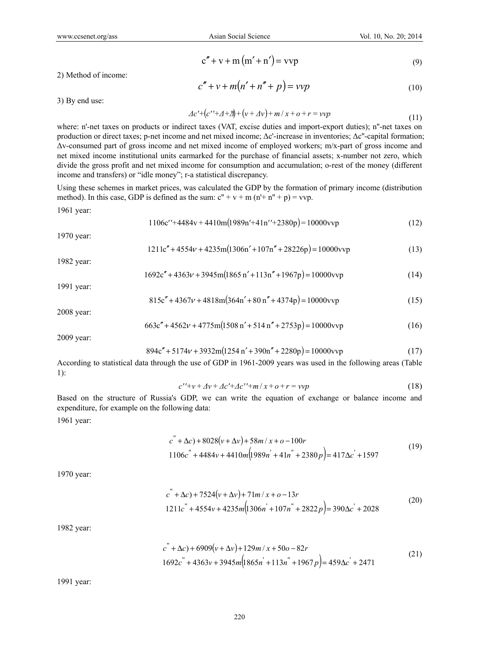$$
c'' + v + m(m' + n') = vvp
$$
\n(9)

2) Method of income:

$$
c'' + v + m(n' + n'' + p) = vvp \tag{10}
$$

3) By end use:

$$
\Delta c' + (c'' + \Delta + \Delta) + (v + \Delta v) + m/x + o + r = vvp \tag{11}
$$

where: n'-net taxes on products or indirect taxes (VAT, excise duties and import-export duties); n"-net taxes on production or direct taxes; p-net income and net mixed income; Δc'-increase in inventories; Δc''-capital formation; Δv-consumed part of gross income and net mixed income of employed workers; m/x-part of gross income and net mixed income institutional units earmarked for the purchase of financial assets; x-number not zero, which divide the gross profit and net mixed income for consumption and accumulation; o-rest of the money (different income and transfers) or "idle money"; r-a statistical discrepancy.

Using these schemes in market prices, was calculated the GDP by the formation of primary income (distribution method). In this case, GDP is defined as the sum:  $c'' + v + m (n' + n'' + p) = vvp$ .

1961 year:

$$
1106c^{\prime\prime} + 4484v + 4410m(1989n^{\prime} + 41n^{\prime\prime} + 2380p) = 10000vp
$$
\n(12)

1970 year:

$$
1211c'' + 4554v + 4235m(1306n' + 107n'' + 28226p) = 10000vvp
$$
\n(13)

1982 year:

$$
1692c'' + 4363v + 3945m(1865n' + 113n'' + 1967p) = 10000vvp
$$
\n(14)

1991 year:

$$
815c'' + 4367v + 4818m(364n' + 80 n'' + 4374p) = 10000vvp
$$
\n(15)

2008 year:

$$
663c'' + 4562v + 4775m(1508 n' + 514 n'' + 2753p) = 10000vp
$$
 (16)

2009 year:

$$
894c'' + 5174v + 3932m(1254n' + 390n'' + 2280p) = 10000vvp
$$
 (17)

According to statistical data through the use of GDP in 1961-2009 years was used in the following areas (Table 1):

$$
c'' + v + \Delta v + \Delta c' + \Delta c'' + m/x + o + r = vvp \tag{18}
$$

Based on the structure of Russia's GDP, we can write the equation of exchange or balance income and expenditure, for example on the following data:

1961 year:

$$
c" + \Delta c) + 8028(v + \Delta v) + 58m/x + o - 100r
$$
  
1106c" + 4484v + 4410m(1989n' + 41n" + 2380p) = 417\Delta c' + 1597 (19)

1970 year:

$$
c^{+} + \Delta c + 7524(v + \Delta v) + 71m/x + o - 13r
$$
  
1211c'' + 4554v + 4235m(1306n' + 107n'' + 2822p) = 390\Delta c' + 2028 (20)

1982 year:

$$
c" + \Delta c) + 6909(v + \Delta v) + 129m/x + 50o - 82r
$$
  
1692c" + 4363v + 3945m(1865n' + 113n" + 1967p) = 459\Delta c' + 2471 (21)

1991 year: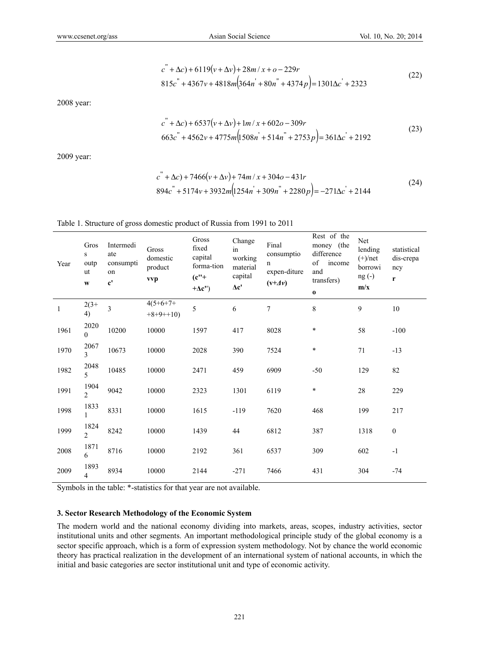$$
c'' + \Delta c + 6119(v + \Delta v) + 28m/x + o - 229r
$$
  
815c'' + 4367v + 4818m(364n' + 80n'' + 4374p) = 1301\Delta c' + 2323 (22)

2008 year:

$$
c" + \Delta c) + 6537(v + \Delta v) + 1m/x + 602o - 309r
$$
  
663c" + 4562v + 4775m(1508n' + 514n" + 2753p) = 361\Delta c' + 2192 (23)

2009 year:

$$
c'' + \Delta c) + 7466(v + \Delta v) + 74m/x + 304o - 431r
$$
  
894c'' + 5174v + 3932m(1254n' + 309n'' + 2280p) = -271\Delta c' + 2144 (24)

Table 1. Structure of gross domestic product of Russia from 1991 to 2011

| Year         | Gros<br>S<br>outp<br>ut<br>$\mathbf{W}$ | Intermedi<br>ate<br>consumpti<br>on<br>$\mathbf{c}^{\prime}$ | <b>Gross</b><br>domestic<br>product<br>vvp | Gross<br>fixed<br>capital<br>forma-tion<br>$(c''+$<br>$+\Delta c'$ | Change<br>in<br>working<br>material<br>capital<br>$\Delta\mathbf{c'}$ | Final<br>consumptio<br>n<br>expen-diture<br>$(v+Av)$ | Rest of the<br>money (the<br>difference<br>$% \left( \left( \mathcal{A},\mathcal{A}\right) \right) =\left( \mathcal{A},\mathcal{A}\right)$ of<br>income<br>and<br>transfers)<br>$\mathbf 0$ | Net<br>lending<br>$(+)/$ net<br>borrowi<br>$ng(-)$<br>m/x | statistical<br>dis-crepa<br>ncy<br>$\mathbf{r}$ |
|--------------|-----------------------------------------|--------------------------------------------------------------|--------------------------------------------|--------------------------------------------------------------------|-----------------------------------------------------------------------|------------------------------------------------------|---------------------------------------------------------------------------------------------------------------------------------------------------------------------------------------------|-----------------------------------------------------------|-------------------------------------------------|
| $\mathbf{1}$ | $2(3+$<br>4)                            | 3                                                            | $4(5+6+7+)$<br>$+8+9++10$                  | 5                                                                  | 6                                                                     | 7                                                    | 8                                                                                                                                                                                           | 9                                                         | 10                                              |
| 1961         | 2020<br>$\theta$                        | 10200                                                        | 10000                                      | 1597                                                               | 417                                                                   | 8028                                                 | $\ast$                                                                                                                                                                                      | 58                                                        | $-100$                                          |
| 1970         | 2067<br>$\overline{\mathcal{E}}$        | 10673                                                        | 10000                                      | 2028                                                               | 390                                                                   | 7524                                                 | $\ast$                                                                                                                                                                                      | $71\,$                                                    | $-13$                                           |
| 1982         | 2048<br>5                               | 10485                                                        | 10000                                      | 2471                                                               | 459                                                                   | 6909                                                 | $-50$                                                                                                                                                                                       | 129                                                       | 82                                              |
| 1991         | 1904<br>$\overline{\mathcal{L}}$        | 9042                                                         | 10000                                      | 2323                                                               | 1301                                                                  | 6119                                                 | $\ast$                                                                                                                                                                                      | $28\,$                                                    | 229                                             |
| 1998         | 1833<br>1                               | 8331                                                         | 10000                                      | 1615                                                               | $-119$                                                                | 7620                                                 | 468                                                                                                                                                                                         | 199                                                       | 217                                             |
| 1999         | 1824<br>$\overline{2}$                  | 8242                                                         | 10000                                      | 1439                                                               | 44                                                                    | 6812                                                 | 387                                                                                                                                                                                         | 1318                                                      | $\boldsymbol{0}$                                |
| 2008         | 1871<br>6                               | 8716                                                         | 10000                                      | 2192                                                               | 361                                                                   | 6537                                                 | 309                                                                                                                                                                                         | 602                                                       | $-1$                                            |
| 2009         | 1893<br>4                               | 8934                                                         | 10000                                      | 2144                                                               | $-271$                                                                | 7466                                                 | 431                                                                                                                                                                                         | 304                                                       | $-74$                                           |

Symbols in the table: \*-statistics for that year are not available.

#### 3. Sector Research Methodology of the Economic System

The modern world and the national economy dividing into markets, areas, scopes, industry activities, sector institutional units and other segments. An important methodological principle study of the global economy is a sector specific approach, which is a form of expression system methodology. Not by chance the world economic theory has practical realization in the development of an international system of national accounts, in which the initial and basic categories are sector institutional unit and type of economic activity.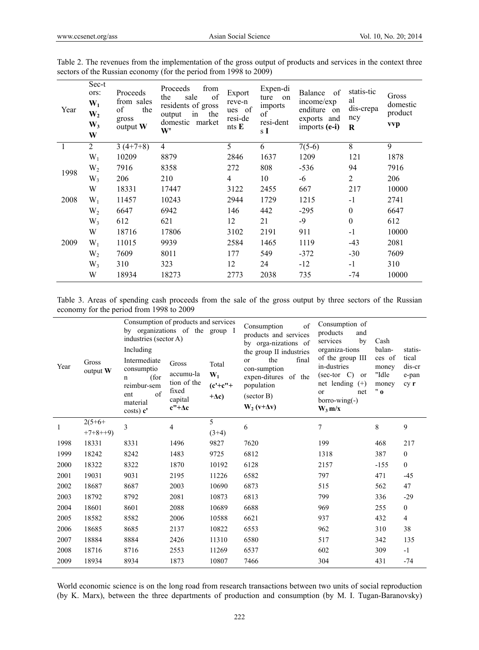|  | Year         | Sec-t<br>ors:<br>$W_1$<br>$W_2$<br>$W_3$<br>W | Proceeds<br>from sales<br>of<br>the<br>gross<br>output W | from<br>Proceeds<br>of<br>the<br>sale<br>residents of gross<br>in<br>output<br>the<br>domestic market<br>W' | Export<br>reve-n<br>of<br>ues<br>resi-de<br>nts E | Expen-di<br>ture<br>on<br>imports<br>of<br>resi-dent<br>s I | of<br>Balance<br>income/exp<br>enditure<br>on<br>exports and<br>imports $(e-i)$ | statis-tic<br>al<br>dis-crepa<br>ncy<br>R | Gross<br>domestic<br>product<br>vvp |
|--|--------------|-----------------------------------------------|----------------------------------------------------------|-------------------------------------------------------------------------------------------------------------|---------------------------------------------------|-------------------------------------------------------------|---------------------------------------------------------------------------------|-------------------------------------------|-------------------------------------|
|  | $\mathbf{1}$ | $\overline{2}$                                | $3(4+7+8)$                                               | 4                                                                                                           | 5                                                 | 6                                                           | $7(5-6)$                                                                        | 8                                         | 9                                   |
|  |              | $W_1$                                         | 10209                                                    | 8879                                                                                                        | 2846                                              | 1637                                                        | 1209                                                                            | 121                                       | 1878                                |
|  | 1998         | $W_2$                                         | 7916                                                     | 8358                                                                                                        | 272                                               | 808                                                         | $-536$                                                                          | 94                                        | 7916                                |
|  |              | $W_3$                                         | 206                                                      | 210                                                                                                         | $\overline{4}$                                    | 10                                                          | $-6$                                                                            | $\overline{2}$                            | 206                                 |
|  |              | W                                             | 18331                                                    | 17447                                                                                                       | 3122                                              | 2455                                                        | 667                                                                             | 217                                       | 10000                               |
|  | 2008         | $W_1$                                         | 11457                                                    | 10243                                                                                                       | 2944                                              | 1729                                                        | 1215                                                                            | $-1$                                      | 2741                                |
|  |              | $W_2$                                         | 6647                                                     | 6942                                                                                                        | 146                                               | 442                                                         | $-295$                                                                          | $\boldsymbol{0}$                          | 6647                                |
|  |              | $W_3$                                         | 612                                                      | 621                                                                                                         | 12                                                | 21                                                          | $-9$                                                                            | $\boldsymbol{0}$                          | 612                                 |
|  |              | W                                             | 18716                                                    | 17806                                                                                                       | 3102                                              | 2191                                                        | 911                                                                             | $-1$                                      | 10000                               |
|  | 2009         | $W_1$                                         | 11015                                                    | 9939                                                                                                        | 2584                                              | 1465                                                        | 1119                                                                            | -43                                       | 2081                                |
|  |              | $W_2$                                         | 7609                                                     | 8011                                                                                                        | 177                                               | 549                                                         | $-372$                                                                          | $-30$                                     | 7609                                |
|  |              | W <sub>3</sub>                                | 310                                                      | 323                                                                                                         | 12                                                | 24                                                          | $-12$                                                                           | $-1$                                      | 310                                 |
|  |              | W                                             | 18934                                                    | 18273                                                                                                       | 2773                                              | 2038                                                        | 735                                                                             | -74                                       | 10000                               |
|  |              |                                               |                                                          |                                                                                                             |                                                   |                                                             |                                                                                 |                                           |                                     |

Table 2. The revenues from the implementation of the gross output of products and services in the context three sectors of the Russian economy (for the period from 1998 to 2009)

Table 3. Areas of spending cash proceeds from the sale of the gross output by three sectors of the Russian economy for the period from 1998 to 2009

| Year | Gross<br>output W      | Consumption of products and services<br>by organizations of the group I<br>industries (sector A)<br>Including<br>Intermediate<br>consumptio<br>(for<br>n<br>reimbur-sem<br>of<br>ent<br>material<br>$costs$ ) $c'$ | Gross<br>accumu-la<br>tion of the<br>fixed<br>capital<br>$c'' + \Delta c$ | Total<br>$W_1$<br>$(c'+c"+$<br>$+\Delta c$ ) | of<br>Consumption<br>products and services<br>by orga-nizations of<br>the group II industries<br>the<br>final<br><sub>or</sub><br>con-sumption<br>expen-ditures of the<br>population<br>$(\text{sector }B)$<br>$W_2(v+\Delta v)$ | Consumption of<br>products<br>and<br>by<br>services<br>organiza-tions<br>of the group III<br>in-dustries<br>$(\sec$ -tor C)<br>or<br>net lending $(+)$<br>net<br>or<br>borro-wing(-)<br>$W_3$ m/x | Cash<br>balan-<br>ces of<br>money<br>"Idle<br>money<br>$"$ 0 | statis-<br>tical<br>dis-cr<br>e-pan<br>cy r |
|------|------------------------|--------------------------------------------------------------------------------------------------------------------------------------------------------------------------------------------------------------------|---------------------------------------------------------------------------|----------------------------------------------|----------------------------------------------------------------------------------------------------------------------------------------------------------------------------------------------------------------------------------|---------------------------------------------------------------------------------------------------------------------------------------------------------------------------------------------------|--------------------------------------------------------------|---------------------------------------------|
| 1    | $2(5+6+)$<br>$+7+8++9$ | 3                                                                                                                                                                                                                  | $\overline{4}$                                                            | 5<br>$(3+4)$                                 | 6                                                                                                                                                                                                                                | 7                                                                                                                                                                                                 | 8                                                            | 9                                           |
| 1998 | 18331                  | 8331                                                                                                                                                                                                               | 1496                                                                      | 9827                                         | 7620                                                                                                                                                                                                                             | 199                                                                                                                                                                                               | 468                                                          | 217                                         |
| 1999 | 18242                  | 8242                                                                                                                                                                                                               | 1483                                                                      | 9725                                         | 6812                                                                                                                                                                                                                             | 1318                                                                                                                                                                                              | 387                                                          | $\boldsymbol{0}$                            |
| 2000 | 18322                  | 8322                                                                                                                                                                                                               | 1870                                                                      | 10192                                        | 6128                                                                                                                                                                                                                             | 2157                                                                                                                                                                                              | $-155$                                                       | $\boldsymbol{0}$                            |
| 2001 | 19031                  | 9031                                                                                                                                                                                                               | 2195                                                                      | 11226                                        | 6582                                                                                                                                                                                                                             | 797                                                                                                                                                                                               | 471                                                          | $-45$                                       |
| 2002 | 18687                  | 8687                                                                                                                                                                                                               | 2003                                                                      | 10690                                        | 6873                                                                                                                                                                                                                             | 515                                                                                                                                                                                               | 562                                                          | 47                                          |
| 2003 | 18792                  | 8792                                                                                                                                                                                                               | 2081                                                                      | 10873                                        | 6813                                                                                                                                                                                                                             | 799                                                                                                                                                                                               | 336                                                          | $-29$                                       |
| 2004 | 18601                  | 8601                                                                                                                                                                                                               | 2088                                                                      | 10689                                        | 6688                                                                                                                                                                                                                             | 969                                                                                                                                                                                               | 255                                                          | $\boldsymbol{0}$                            |
| 2005 | 18582                  | 8582                                                                                                                                                                                                               | 2006                                                                      | 10588                                        | 6621                                                                                                                                                                                                                             | 937                                                                                                                                                                                               | 432                                                          | $\overline{4}$                              |
| 2006 | 18685                  | 8685                                                                                                                                                                                                               | 2137                                                                      | 10822                                        | 6553                                                                                                                                                                                                                             | 962                                                                                                                                                                                               | 310                                                          | 38                                          |
| 2007 | 18884                  | 8884                                                                                                                                                                                                               | 2426                                                                      | 11310                                        | 6580                                                                                                                                                                                                                             | 517                                                                                                                                                                                               | 342                                                          | 135                                         |
| 2008 | 18716                  | 8716                                                                                                                                                                                                               | 2553                                                                      | 11269                                        | 6537                                                                                                                                                                                                                             | 602                                                                                                                                                                                               | 309                                                          | $-1$                                        |
| 2009 | 18934                  | 8934                                                                                                                                                                                                               | 1873                                                                      | 10807                                        | 7466                                                                                                                                                                                                                             | 304                                                                                                                                                                                               | 431                                                          | $-74$                                       |

World economic science is on the long road from research transactions between two units of social reproduction (by K. Marx), between the three departments of production and consumption (by M. I. Tugan-Baranovsky)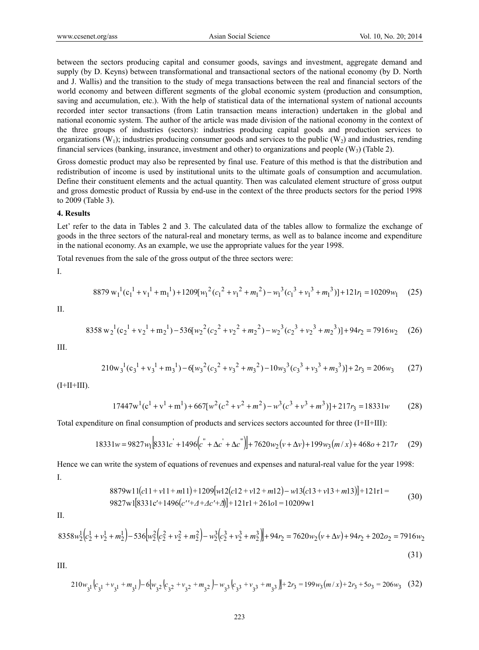between the sectors producing capital and consumer goods, savings and investment, aggregate demand and supply (by D. Keyns) between transformational and transactional sectors of the national economy (by D. North and J. Wallis) and the transition to the study of mega transactions between the real and financial sectors of the world economy and between different segments of the global economic system (production and consumption, saving and accumulation, etc.). With the help of statistical data of the international system of national accounts recorded inter sector transactions (from Latin transaction means interaction) undertaken in the global and national economic system. The author of the article was made division of the national economy in the context of the three groups of industries (sectors): industries producing capital goods and production services to organizations  $(W_1)$ ; industries producing consumer goods and services to the public  $(W_2)$  and industries, rending financial services (banking, insurance, investment and other) to organizations and people  $(W_3)$  (Table 2).

Gross domestic product may also be represented by final use. Feature of this method is that the distribution and redistribution of income is used by institutional units to the ultimate goals of consumption and accumulation. Define their constituent elements and the actual quantity. Then was calculated element structure of gross output and gross domestic product of Russia by end-use in the context of the three products sectors for the period 1998 to 2009 (Table 3).

## **4. Results**

Let' refer to the data in Tables 2 and 3. The calculated data of the tables allow to formalize the exchange of goods in the three sectors of the natural-real and monetary terms, as well as to balance income and expenditure in the national economy. As an example, we use the appropriate values for the year 1998.

Total revenues from the sale of the gross output of the three sectors were:

I.

$$
8879 \text{ w}_1^1 \text{(c}_1^1 + \text{v}_1^1 + \text{m}_1^1) + 1209 \text{[w}_1^2 \text{(c}_1^2 + \text{v}_1^2 + \text{m}_1^2) - \text{w}_1^3 \text{(c}_1^3 + \text{v}_1^3 + \text{m}_1^3) + 121 \text{r}_1 = 10209 \text{w}_1 \tag{25}
$$

II.

$$
8358 w_2^1 (c_2^1 + v_2^1 + m_2^1) - 536 [w_2^2 (c_2^2 + v_2^2 + m_2^2) - w_2^3 (c_2^3 + v_2^3 + m_2^3)] + 94r_2 = 7916 w_2
$$
 (26)

III.

$$
210w_3^{1}(c_3^{1} + v_3^{1} + m_3^{1}) - 6[w_3^{2}(c_3^{2} + v_3^{2} + m_3^{2}) - 10w_3^{3}(c_3^{3} + v_3^{3} + m_3^{3})] + 2r_3 = 206w_3
$$
 (27)

 $(I+II+III)$ .

$$
17447w^{1}(c^{1} + v^{1} + m^{1}) + 667[w^{2}(c^{2} + v^{2} + m^{2}) - w^{3}(c^{3} + v^{3} + m^{3})] + 217r_{3} = 18331w
$$
 (28)

Total expenditure on final consumption of products and services sectors accounted for three (I+II+III):

$$
18331w = 9827w_1 \Big| 8331c^{2} + 1496(c^{2} + \Delta c^{2} + \Delta c^{2}) \Big| + 7620w_2(v + \Delta v) + 199w_3(m/x) + 468o + 217r \tag{29}
$$

Hence we can write the system of equations of revenues and expenses and natural-real value for the year 1998: I.

$$
8879 \text{w}11 \left(\frac{c11 + v11 + m11}{1 + m11}\right) + 1209 \left[\frac{w12}{c12 + v12 + m12}\right] - w13 \left(\frac{c13 + v13 + m13}{1 + m13}\right) + 121 \text{r1} = 9827 \text{w}1 \left[\frac{8331}{c'} + 1496 \left(\frac{c'}{+4} + \frac{c'}{+4}\right)\right] + 121 \text{r1} + 261 \text{d} = 10209 \text{w1}
$$
\n(30)

II.

$$
8358w_2^1(c_2^1 + v_2^1 + m_2^1) - 536w_2^2(c_2^2 + v_2^2 + m_2^2) - w_2^3(c_2^3 + v_2^3 + m_2^3) + 94r_2 = 7620w_2(v + \Delta v) + 94r_2 + 202o_2 = 7916w_2
$$
\n(31)

III.

$$
210w_{31}^1 \Big| c_{31}^1 + v_{31}^1 + m_{31}^1 \Big| - 6 \Big| w_{32}^1 \Big| c_{32}^1 + v_{32}^1 + m_{32}^1 \Big| - w_{33}^1 \Big| c_{33}^1 + v_{33}^1 + m_{33}^1 \Big| + 2r_3^1 = 199w_3 \Big( m/x \Big) + 2r_3^1 + 5r_3^2 = 206w_3 \tag{32}
$$